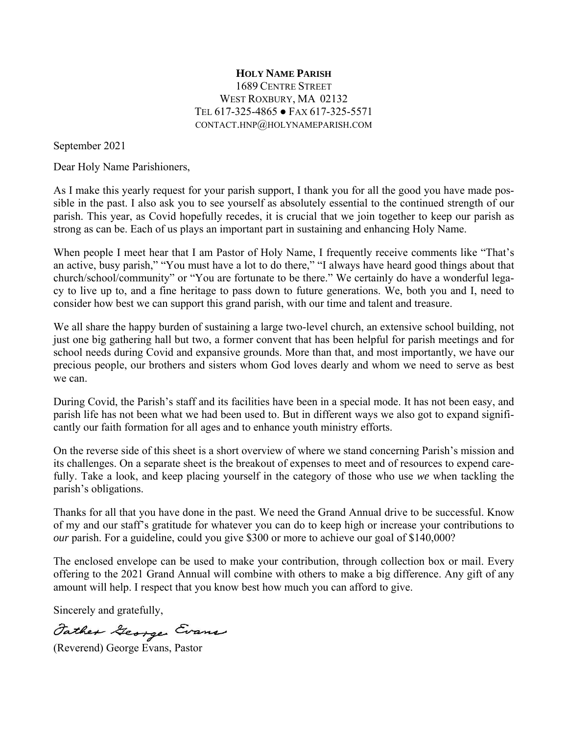## **HOLY NAME PARISH** 1689 CENTRE STREET WEST ROXBURY, MA 02132 TEL 617-325-4865 ● FAX 617-325-5571 CONTACT.HNP@HOLYNAMEPARISH.COM

September 2021

Dear Holy Name Parishioners,

As I make this yearly request for your parish support, I thank you for all the good you have made possible in the past. I also ask you to see yourself as absolutely essential to the continued strength of our parish. This year, as Covid hopefully recedes, it is crucial that we join together to keep our parish as strong as can be. Each of us plays an important part in sustaining and enhancing Holy Name.

When people I meet hear that I am Pastor of Holy Name, I frequently receive comments like "That's an active, busy parish," "You must have a lot to do there," "I always have heard good things about that church/school/community" or "You are fortunate to be there." We certainly do have a wonderful legacy to live up to, and a fine heritage to pass down to future generations. We, both you and I, need to consider how best we can support this grand parish, with our time and talent and treasure.

We all share the happy burden of sustaining a large two-level church, an extensive school building, not just one big gathering hall but two, a former convent that has been helpful for parish meetings and for school needs during Covid and expansive grounds. More than that, and most importantly, we have our precious people, our brothers and sisters whom God loves dearly and whom we need to serve as best we can.

During Covid, the Parish's staff and its facilities have been in a special mode. It has not been easy, and parish life has not been what we had been used to. But in different ways we also got to expand significantly our faith formation for all ages and to enhance youth ministry efforts.

On the reverse side of this sheet is a short overview of where we stand concerning Parish's mission and its challenges. On a separate sheet is the breakout of expenses to meet and of resources to expend carefully. Take a look, and keep placing yourself in the category of those who use *we* when tackling the parish's obligations.

Thanks for all that you have done in the past. We need the Grand Annual drive to be successful. Know of my and our staff's gratitude for whatever you can do to keep high or increase your contributions to *our* parish. For a guideline, could you give \$300 or more to achieve our goal of \$140,000?

The enclosed envelope can be used to make your contribution, through collection box or mail. Every offering to the 2021 Grand Annual will combine with others to make a big difference. Any gift of any amount will help. I respect that you know best how much you can afford to give.

Sincerely and gratefully,

Father George Evans

(Reverend) George Evans, Pastor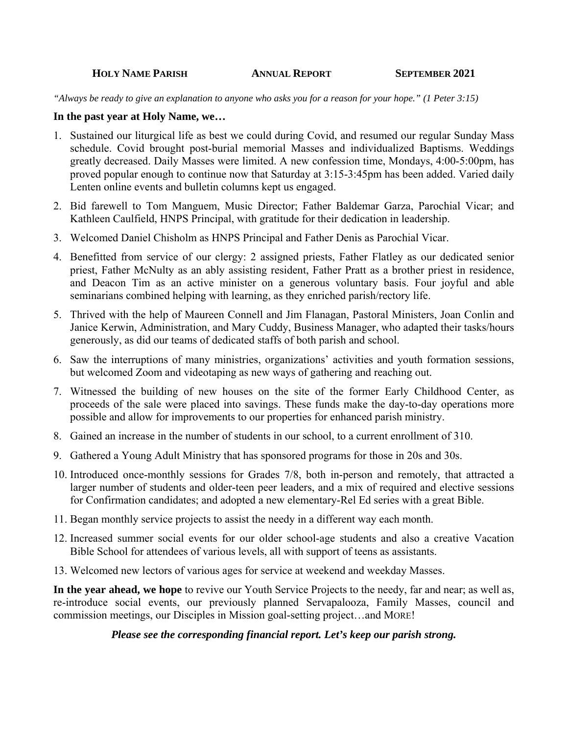#### **HOLY NAME PARISH ANNUAL REPORT SEPTEMBER 2021**

*"Always be ready to give an explanation to anyone who asks you for a reason for your hope." (1 Peter 3:15)* 

### **In the past year at Holy Name, we…**

- 1. Sustained our liturgical life as best we could during Covid, and resumed our regular Sunday Mass schedule. Covid brought post-burial memorial Masses and individualized Baptisms. Weddings greatly decreased. Daily Masses were limited. A new confession time, Mondays, 4:00-5:00pm, has proved popular enough to continue now that Saturday at 3:15-3:45pm has been added. Varied daily Lenten online events and bulletin columns kept us engaged.
- 2. Bid farewell to Tom Manguem, Music Director; Father Baldemar Garza, Parochial Vicar; and Kathleen Caulfield, HNPS Principal, with gratitude for their dedication in leadership.
- 3. Welcomed Daniel Chisholm as HNPS Principal and Father Denis as Parochial Vicar.
- 4. Benefitted from service of our clergy: 2 assigned priests, Father Flatley as our dedicated senior priest, Father McNulty as an ably assisting resident, Father Pratt as a brother priest in residence, and Deacon Tim as an active minister on a generous voluntary basis. Four joyful and able seminarians combined helping with learning, as they enriched parish/rectory life.
- 5. Thrived with the help of Maureen Connell and Jim Flanagan, Pastoral Ministers, Joan Conlin and Janice Kerwin, Administration, and Mary Cuddy, Business Manager, who adapted their tasks/hours generously, as did our teams of dedicated staffs of both parish and school.
- 6. Saw the interruptions of many ministries, organizations' activities and youth formation sessions, but welcomed Zoom and videotaping as new ways of gathering and reaching out.
- 7. Witnessed the building of new houses on the site of the former Early Childhood Center, as proceeds of the sale were placed into savings. These funds make the day-to-day operations more possible and allow for improvements to our properties for enhanced parish ministry.
- 8. Gained an increase in the number of students in our school, to a current enrollment of 310.
- 9. Gathered a Young Adult Ministry that has sponsored programs for those in 20s and 30s.
- 10. Introduced once-monthly sessions for Grades 7/8, both in-person and remotely, that attracted a larger number of students and older-teen peer leaders, and a mix of required and elective sessions for Confirmation candidates; and adopted a new elementary-Rel Ed series with a great Bible.
- 11. Began monthly service projects to assist the needy in a different way each month.
- 12. Increased summer social events for our older school-age students and also a creative Vacation Bible School for attendees of various levels, all with support of teens as assistants.
- 13. Welcomed new lectors of various ages for service at weekend and weekday Masses.

**In the year ahead, we hope** to revive our Youth Service Projects to the needy, far and near; as well as, re-introduce social events, our previously planned Servapalooza, Family Masses, council and commission meetings, our Disciples in Mission goal-setting project…and MORE!

### *Please see the corresponding financial report. Let's keep our parish strong.*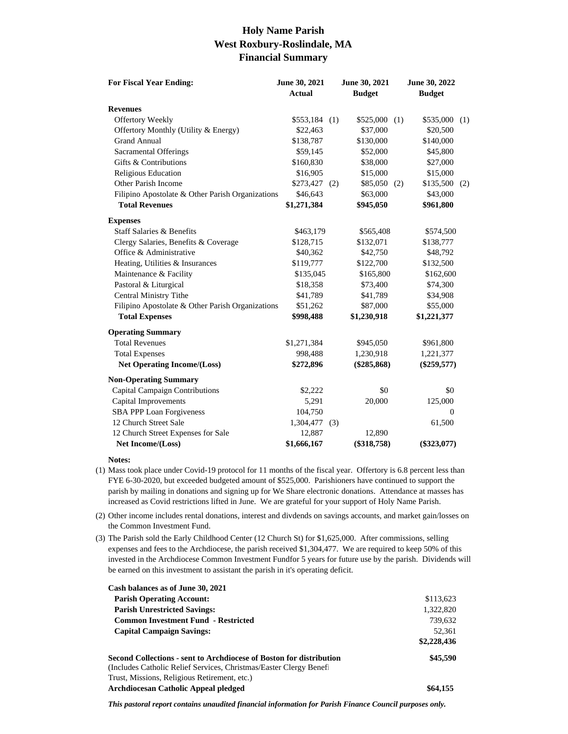# **Holy Name Parish West Roxbury-Roslindale, MA Financial Summary**

| <b>For Fiscal Year Ending:</b>                   | June 30, 2021<br><b>Actual</b> |     | June 30, 2021<br><b>Budget</b> |     | June 30, 2022<br><b>Budget</b> |     |
|--------------------------------------------------|--------------------------------|-----|--------------------------------|-----|--------------------------------|-----|
| <b>Revenues</b>                                  |                                |     |                                |     |                                |     |
| <b>Offertory Weekly</b>                          | $$553,184$ (1)                 |     | \$525,000                      | (1) | \$535,000                      | (1) |
| Offertory Monthly (Utility & Energy)             | \$22,463                       |     | \$37,000                       |     | \$20,500                       |     |
| <b>Grand Annual</b>                              | \$138,787                      |     | \$130,000                      |     | \$140,000                      |     |
| Sacramental Offerings                            | \$59,145                       |     | \$52,000                       |     | \$45,800                       |     |
| Gifts & Contributions                            | \$160,830                      |     | \$38,000                       |     | \$27,000                       |     |
| Religious Education                              | \$16,905                       |     | \$15,000                       |     | \$15,000                       |     |
| Other Parish Income                              | \$273,427                      | (2) | \$85,050(2)                    |     | \$135,500                      | (2) |
| Filipino Apostolate & Other Parish Organizations | \$46,643                       |     | \$63,000                       |     | \$43,000                       |     |
| <b>Total Revenues</b>                            | \$1,271,384                    |     | \$945,050                      |     | \$961,800                      |     |
| <b>Expenses</b>                                  |                                |     |                                |     |                                |     |
| <b>Staff Salaries &amp; Benefits</b>             | \$463,179                      |     | \$565,408                      |     | \$574,500                      |     |
| Clergy Salaries, Benefits & Coverage             | \$128,715                      |     | \$132,071                      |     | \$138,777                      |     |
| Office & Administrative                          | \$40,362                       |     | \$42,750                       |     | \$48,792                       |     |
| Heating, Utilities & Insurances                  | \$119,777                      |     | \$122,700                      |     | \$132,500                      |     |
| Maintenance & Facility                           | \$135,045                      |     | \$165,800                      |     | \$162,600                      |     |
| Pastoral & Liturgical                            | \$18,358                       |     | \$73,400                       |     | \$74,300                       |     |
| <b>Central Ministry Tithe</b>                    | \$41,789                       |     | \$41,789                       |     | \$34,908                       |     |
| Filipino Apostolate & Other Parish Organizations | \$51,262                       |     | \$87,000                       |     | \$55,000                       |     |
| <b>Total Expenses</b>                            | \$998,488                      |     | \$1,230,918                    |     | \$1,221,377                    |     |
| <b>Operating Summary</b>                         |                                |     |                                |     |                                |     |
| <b>Total Revenues</b>                            | \$1,271,384                    |     | \$945,050                      |     | \$961,800                      |     |
| <b>Total Expenses</b>                            | 998,488                        |     | 1,230,918                      |     | 1,221,377                      |     |
| <b>Net Operating Income/(Loss)</b>               | \$272,896                      |     | $(\$285,868)$                  |     | $(\$259,577)$                  |     |
| <b>Non-Operating Summary</b>                     |                                |     |                                |     |                                |     |
| Capital Campaign Contributions                   | \$2,222                        |     | \$0                            |     | \$0                            |     |
| Capital Improvements                             | 5,291                          |     | 20,000                         |     | 125,000                        |     |
| <b>SBA PPP Loan Forgiveness</b>                  | 104,750                        |     |                                |     | $\overline{0}$                 |     |
| 12 Church Street Sale                            | 1,304,477                      | (3) |                                |     | 61,500                         |     |
| 12 Church Street Expenses for Sale               | 12,887                         |     | 12,890                         |     |                                |     |
| Net Income/(Loss)                                | \$1,666,167                    |     | $(\$318,758)$                  |     | $(\$323,077)$                  |     |

#### **Notes:**

- (1) Mass took place under Covid-19 protocol for 11 months of the fiscal year. Offertory is 6.8 percent less than FYE 6-30-2020, but exceeded budgeted amount of \$525,000. Parishioners have continued to support the parish by mailing in donations and signing up for We Share electronic donations. Attendance at masses has increased as Covid restrictions lifted in June. We are grateful for your support of Holy Name Parish.
- (2) Other income includes rental donations, interest and divdends on savings accounts, and market gain/losses on the Common Investment Fund.
- (3) The Parish sold the Early Childhood Center (12 Church St) for \$1,625,000. After commissions, selling expenses and fees to the Archdiocese, the parish received \$1,304,477. We are required to keep 50% of this invested in the Archdiocese Common Investment Fundfor 5 years for future use by the parish. Dividends will be earned on this investment to assistant the parish in it's operating deficit.

| Cash balances as of June 30, 2021                                   |             |
|---------------------------------------------------------------------|-------------|
| <b>Parish Operating Account:</b>                                    | \$113,623   |
| <b>Parish Unrestricted Savings:</b>                                 | 1,322,820   |
| <b>Common Investment Fund - Restricted</b>                          | 739.632     |
| <b>Capital Campaign Savings:</b>                                    | 52.361      |
|                                                                     | \$2,228,436 |
| Second Collections - sent to Archdiocese of Boston for distribution | \$45,590    |
| (Includes Catholic Relief Services, Christmas/Easter Clergy Benef   |             |
| Trust, Missions, Religious Retirement, etc.)                        |             |
| <b>Archdiocesan Catholic Appeal pledged</b>                         | \$64,155    |

*This pastoral report contains unaudited financial information for Parish Finance Council purposes only.*